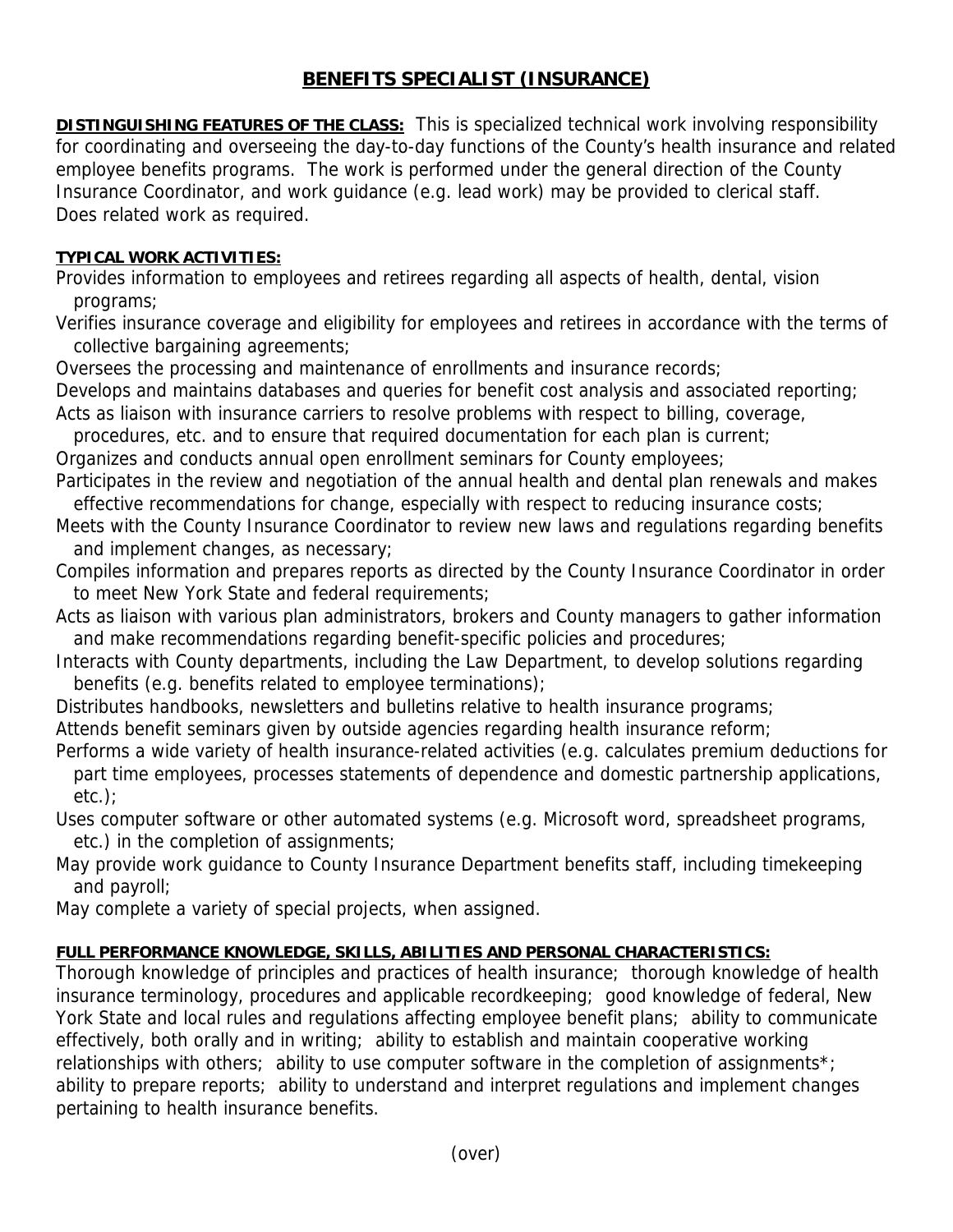## **BENEFITS SPECIALIST (INSURANCE)**

**DISTINGUISHING FEATURES OF THE CLASS:** This is specialized technical work involving responsibility for coordinating and overseeing the day-to-day functions of the County's health insurance and related employee benefits programs. The work is performed under the general direction of the County Insurance Coordinator, and work guidance (e.g. lead work) may be provided to clerical staff. Does related work as required.

## **TYPICAL WORK ACTIVITIES:**

Provides information to employees and retirees regarding all aspects of health, dental, vision programs;

Verifies insurance coverage and eligibility for employees and retirees in accordance with the terms of collective bargaining agreements;

Oversees the processing and maintenance of enrollments and insurance records;

Develops and maintains databases and queries for benefit cost analysis and associated reporting; Acts as liaison with insurance carriers to resolve problems with respect to billing, coverage,

procedures, etc. and to ensure that required documentation for each plan is current;

Organizes and conducts annual open enrollment seminars for County employees;

Participates in the review and negotiation of the annual health and dental plan renewals and makes effective recommendations for change, especially with respect to reducing insurance costs;

- Meets with the County Insurance Coordinator to review new laws and regulations regarding benefits and implement changes, as necessary;
- Compiles information and prepares reports as directed by the County Insurance Coordinator in order to meet New York State and federal requirements;
- Acts as liaison with various plan administrators, brokers and County managers to gather information and make recommendations regarding benefit-specific policies and procedures;
- Interacts with County departments, including the Law Department, to develop solutions regarding benefits (e.g. benefits related to employee terminations);

Distributes handbooks, newsletters and bulletins relative to health insurance programs;

Attends benefit seminars given by outside agencies regarding health insurance reform;

- Performs a wide variety of health insurance-related activities (e.g. calculates premium deductions for part time employees, processes statements of dependence and domestic partnership applications, etc.);
- Uses computer software or other automated systems (e.g. Microsoft word, spreadsheet programs, etc.) in the completion of assignments;

May provide work guidance to County Insurance Department benefits staff, including timekeeping and payroll;

May complete a variety of special projects, when assigned.

## **FULL PERFORMANCE KNOWLEDGE, SKILLS, ABILITIES AND PERSONAL CHARACTERISTICS:**

Thorough knowledge of principles and practices of health insurance; thorough knowledge of health insurance terminology, procedures and applicable recordkeeping; good knowledge of federal, New York State and local rules and regulations affecting employee benefit plans; ability to communicate effectively, both orally and in writing; ability to establish and maintain cooperative working relationships with others; ability to use computer software in the completion of assignments<sup>\*</sup>; ability to prepare reports; ability to understand and interpret regulations and implement changes pertaining to health insurance benefits.